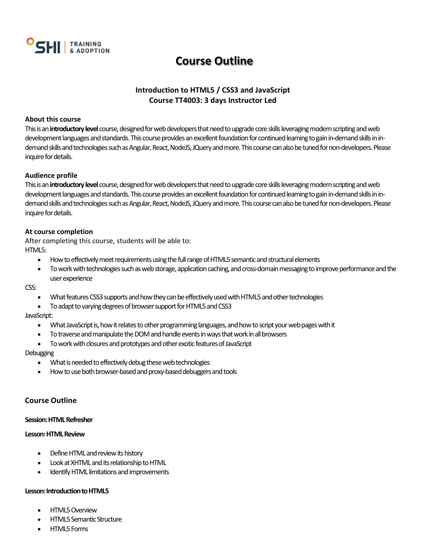

## **Course Outline**

## **Introduction to HTML5 / CSS3 and JavaScript Course TT4003: 3 days Instructor Led**

## **About this course**

This is an**introductory level**course, designed for web developers that need to upgrade core skills leveraging modern scripting and web development languages and standards. This course provides an excellent foundation for continued learning to gain in-demand skills in indemand skills and technologies such as Angular, React, NodeJS, JQuery and more. This course can also be tuned for non-developers. Please inquire for details.

## **Audience profile**

This is an**introductory level**course, designed for web developers that need to upgrade core skills leveraging modern scripting and web development languages and standards. This course provides an excellent foundation for continued learning to gain in-demand skills in indemand skills and technologies such as Angular, React, NodeJS, JQuery and more. This course can also be tuned for non-developers. Please inquire for details.

## **At course completion**

After completing this course, students will be able to: HTML<sub>5</sub>:

- How to effectively meet requirements using the full range of HTML5 semantic and structural elements
- To work with technologies such as web storage, application caching, and cross-domain messaging to improve performance and the user experience

CSS:

- What features CSS3 supports and how they can be effectively used with HTML5 and other technologies
- To adapt to varying degrees of browser support for HTML5 and CSS3

## JavaScript:

- What JavaScript is, how it relates to other programming languages, and how to script your web pages with it
- To traverse and manipulate the DOM and handle events in ways that work in all browsers
- To work with closures and prototypes and other exotic features of JavaScript

## **Debugging**

- What is needed to effectively debug these web technologies
- How to use both browser-based and proxy-based debuggers and tools

## **Course Outline**

## **Session: HTML Refresher**

## **Lesson: HTML Review**

- Define HTML and review its history
- Look at XHTML and its relationship to HTML
- Identify HTML limitations and improvements

## **Lesson: Introduction to HTML5**

- HTML5 Overview
- HTML5 Semantic Structure
- HTML5 Forms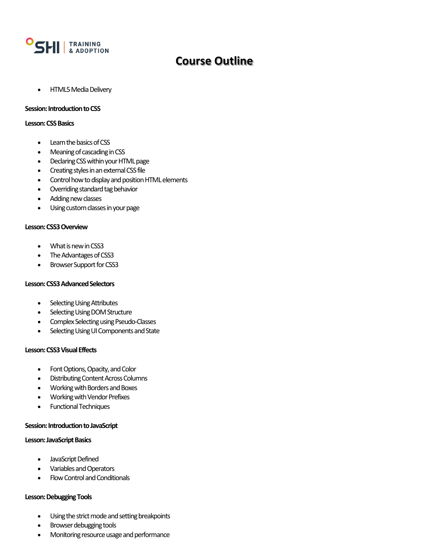

## **Course Outline**

• HTML5 Media Delivery

#### **Session: Introduction to CSS**

#### **Lesson: CSS Basics**

- Learn the basics of CSS
- Meaning of cascading in CSS
- Declaring CSS within your HTML page
- Creating styles in an external CSS file
- Control how to display and position HTML elements
- Overriding standard tag behavior
- Adding new classes
- Using custom classes in your page

## **Lesson: CSS3 Overview**

- What is new in CSS3
- The Advantages of CSS3
- Browser Support for CSS3

## **Lesson: CSS3 Advanced Selectors**

- **Selecting Using Attributes**
- **Selecting Using DOM Structure**
- Complex Selecting using Pseudo-Classes
- Selecting Using UI Components and State

## **Lesson: CSS3 Visual Effects**

- Font Options, Opacity, and Color
- Distributing Content Across Columns
- Working with Borders and Boxes
- Working with Vendor Prefixes
- Functional Techniques

## **Session: Introduction to JavaScript**

## **Lesson: JavaScript Basics**

- JavaScript Defined
- Variables and Operators
- Flow Control and Conditionals

## **Lesson: Debugging Tools**

- Using the strict mode and setting breakpoints
- Browser debugging tools
- Monitoring resource usage and performance